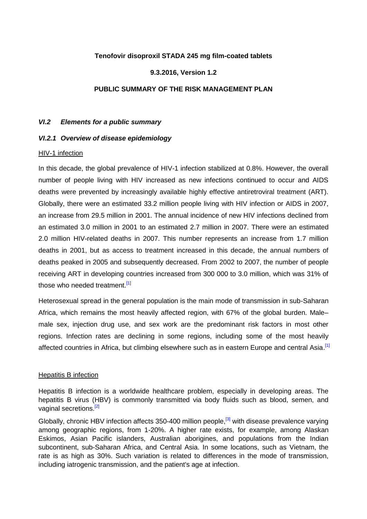#### **Tenofovir disoproxil STADA 245 mg film-coated tablets**

#### **9.3.2016, Version 1.2**

#### **PUBLIC SUMMARY OF THE RISK MANAGEMENT PLAN**

#### *VI.2 Elements for a public summary*

#### *VI.2.1 Overview of disease epidemiology*

#### HIV-1 infection

In this decade, the global prevalence of HIV-1 infection stabilized at 0.8%. However, the overall number of people living with HIV increased as new infections continued to occur and AIDS deaths were prevented by increasingly available highly effective antiretroviral treatment (ART). Globally, there were an estimated 33.2 million people living with HIV infection or AIDS in 2007, an increase from 29.5 million in 2001. The annual incidence of new HIV infections declined from an estimated 3.0 million in 2001 to an estimated 2.7 million in 2007. There were an estimated 2.0 million HIV-related deaths in 2007. This number represents an increase from 1.7 million deaths in 2001, but as access to treatment increased in this decade, the annual numbers of deaths peaked in 2005 and subsequently decreased. From 2002 to 2007, the number of people receiving ART in developing countries increased from 300 000 to 3.0 million, which was 31% of those who needed treatment.<sup>[1]</sup>

Heterosexual spread in the general population is the main mode of transmission in sub-Saharan Africa, which remains the most heavily affected region, with 67% of the global burden. Male– male sex, injection drug use, and sex work are the predominant risk factors in most other regions. Infection rates are declining in some regions, including some of the most heavily affected countries in Africa, but climbing elsewhere such as in eastern Europe and central Asia.<sup>[1]</sup>

#### Hepatitis B infection

Hepatitis B infection is a worldwide healthcare problem, especially in developing areas. The hepatitis B virus (HBV) is commonly transmitted via body fluids such as blood, semen, and vaginal secretions.<sup>[2]</sup>

Globally, chronic HBV infection affects 350-400 million people,<sup>[3]</sup> with disease prevalence varying among geographic regions, from 1-20%. A higher rate exists, for example, among Alaskan Eskimos, Asian Pacific islanders, Australian aborigines, and populations from the Indian subcontinent, sub-Saharan Africa, and Central Asia. In some locations, such as Vietnam, the rate is as high as 30%. Such variation is related to differences in the mode of transmission, including iatrogenic transmission, and the patient's age at infection.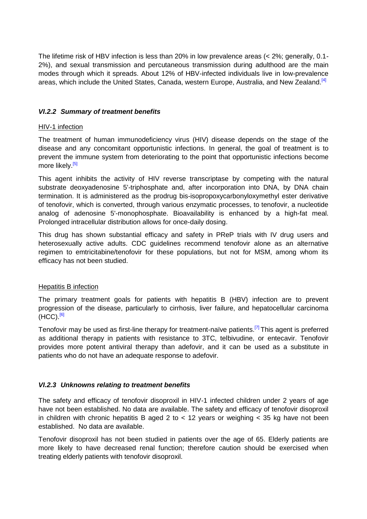The lifetime risk of HBV infection is less than 20% in low prevalence areas (< 2%; generally, 0.1- 2%), and sexual transmission and percutaneous transmission during adulthood are the main modes through which it spreads. About 12% of HBV-infected individuals live in low-prevalence areas, which include the United States, Canada, western Europe, Australia, and New Zealand [4]

## *VI.2.2 Summary of treatment benefits*

### HIV-1 infection

The treatment of human immunodeficiency virus (HIV) disease depends on the stage of the disease and any concomitant opportunistic infections. In general, the goal of treatment is to prevent the immune system from deteriorating to the point that opportunistic infections become more likely.<sup>[5]</sup>

This agent inhibits the activity of HIV reverse transcriptase by competing with the natural substrate deoxyadenosine 5'-triphosphate and, after incorporation into DNA, by DNA chain termination. It is administered as the prodrug bis-isopropoxycarbonyloxymethyl ester derivative of tenofovir, which is converted, through various enzymatic processes, to tenofovir, a nucleotide analog of adenosine 5'-monophosphate. Bioavailability is enhanced by a high-fat meal. Prolonged intracellular distribution allows for once-daily dosing.

This drug has shown substantial efficacy and safety in PReP trials with IV drug users and heterosexually active adults. CDC guidelines recommend tenofovir alone as an alternative regimen to emtricitabine/tenofovir for these populations, but not for MSM, among whom its efficacy has not been studied.

### Hepatitis B infection

The primary treatment goals for patients with hepatitis B (HBV) infection are to prevent progression of the disease, particularly to cirrhosis, liver failure, and hepatocellular carcinoma  $(HCC)$ .<sup>[6]</sup>

Tenofovir may be used as first-line therapy for treatment-naïve patients.<sup>[7]</sup> This agent is preferred as additional therapy in patients with resistance to 3TC, telbivudine, or entecavir. Tenofovir provides more potent antiviral therapy than adefovir, and it can be used as a substitute in patients who do not have an adequate response to adefovir.

## *VI.2.3 Unknowns relating to treatment benefits*

The safety and efficacy of tenofovir disoproxil in HIV-1 infected children under 2 years of age have not been established. No data are available. The safety and efficacy of tenofovir disoproxil in children with chronic hepatitis B aged 2 to  $<$  12 years or weighing  $<$  35 kg have not been established. No data are available.

Tenofovir disoproxil has not been studied in patients over the age of 65. Elderly patients are more likely to have decreased renal function; therefore caution should be exercised when treating elderly patients with tenofovir disoproxil.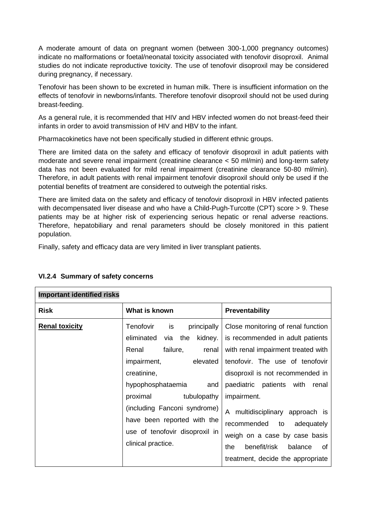A moderate amount of data on pregnant women (between 300-1,000 pregnancy outcomes) indicate no malformations or foetal/neonatal toxicity associated with tenofovir disoproxil. Animal studies do not indicate reproductive toxicity. The use of tenofovir disoproxil may be considered during pregnancy, if necessary.

Tenofovir has been shown to be excreted in human milk. There is insufficient information on the effects of tenofovir in newborns/infants. Therefore tenofovir disoproxil should not be used during breast-feeding.

As a general rule, it is recommended that HIV and HBV infected women do not breast-feed their infants in order to avoid transmission of HIV and HBV to the infant.

Pharmacokinetics have not been specifically studied in different ethnic groups.

There are limited data on the safety and efficacy of tenofovir disoproxil in adult patients with moderate and severe renal impairment (creatinine clearance < 50 ml/min) and long-term safety data has not been evaluated for mild renal impairment (creatinine clearance 50-80 ml/min). Therefore, in adult patients with renal impairment tenofovir disoproxil should only be used if the potential benefits of treatment are considered to outweigh the potential risks.

There are limited data on the safety and efficacy of tenofovir disoproxil in HBV infected patients with decompensated liver disease and who have a Child-Pugh-Turcotte (CPT) score > 9. These patients may be at higher risk of experiencing serious hepatic or renal adverse reactions. Therefore, hepatobiliary and renal parameters should be closely monitored in this patient population.

Finally, safety and efficacy data are very limited in liver transplant patients.

| <b>Important identified risks</b> |                                                                                                                                                                                                                                                                                                                             |                                                                                                                                                                                                                                                                                                                                                                                                                          |  |
|-----------------------------------|-----------------------------------------------------------------------------------------------------------------------------------------------------------------------------------------------------------------------------------------------------------------------------------------------------------------------------|--------------------------------------------------------------------------------------------------------------------------------------------------------------------------------------------------------------------------------------------------------------------------------------------------------------------------------------------------------------------------------------------------------------------------|--|
| <b>Risk</b>                       | What is known                                                                                                                                                                                                                                                                                                               | <b>Preventability</b>                                                                                                                                                                                                                                                                                                                                                                                                    |  |
| <b>Renal toxicity</b>             | Tenofovir<br>principally<br>is<br>eliminated<br>kidney.<br>the<br>via<br>failure,<br>Renal<br>renal<br>impairment,<br>elevated<br>creatinine,<br>hypophosphataemia<br>and<br>proximal<br>tubulopathy<br>(including Fanconi syndrome)<br>have been reported with the<br>use of tenofovir disoproxil in<br>clinical practice. | Close monitoring of renal function<br>is recommended in adult patients<br>with renal impairment treated with<br>tenofovir. The use of tenofovir<br>disoproxil is not recommended in<br>paediatric patients with<br>renal<br>impairment.<br>A multidisciplinary approach is<br>recommended to<br>adequately<br>weigh on a case by case basis<br>benefit/risk<br>balance<br>the<br>of<br>treatment, decide the appropriate |  |

### **VI.2.4 Summary of safety concerns**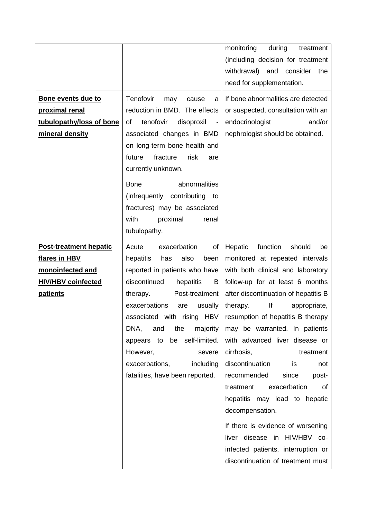|                                                                                                                    |                                                                                                                                                                                                                                                                                                                  | monitoring<br>during<br>treatment<br>(including decision for treatment<br>withdrawal) and consider<br>the                                                                                                                                                                                                                                                         |
|--------------------------------------------------------------------------------------------------------------------|------------------------------------------------------------------------------------------------------------------------------------------------------------------------------------------------------------------------------------------------------------------------------------------------------------------|-------------------------------------------------------------------------------------------------------------------------------------------------------------------------------------------------------------------------------------------------------------------------------------------------------------------------------------------------------------------|
|                                                                                                                    |                                                                                                                                                                                                                                                                                                                  | need for supplementation.                                                                                                                                                                                                                                                                                                                                         |
| Bone events due to<br>proximal renal                                                                               | Tenofovir<br>may<br>cause<br>a<br>reduction in BMD. The effects                                                                                                                                                                                                                                                  | If bone abnormalities are detected<br>or suspected, consultation with an                                                                                                                                                                                                                                                                                          |
| tubulopathy/loss of bone<br>mineral density                                                                        | tenofovir<br>of<br>disoproxil<br>$\sim$<br>associated changes in BMD<br>on long-term bone health and<br>fracture<br>risk<br>future<br>are<br>currently unknown.<br><b>Bone</b><br>abnormalities<br>(infrequently contributing<br>to<br>fractures) may be associated<br>with<br>proximal<br>renal<br>tubulopathy. | endocrinologist<br>and/or<br>nephrologist should be obtained.                                                                                                                                                                                                                                                                                                     |
| <b>Post-treatment hepatic</b><br><u>flares in HBV</u><br>monoinfected and<br><b>HIV/HBV coinfected</b><br>patients | Acute<br>exacerbation<br>of<br>also<br>hepatitis<br>has<br>been<br>reported in patients who have<br>discontinued<br>hepatitis<br>B<br>Post-treatment<br>therapy.<br>exacerbations<br>usually<br>are<br><b>HBV</b><br>associated with rising<br>the<br>majority<br>DNA,<br>and                                    | Hepatic<br>function<br>should<br>be<br>monitored at repeated intervals<br>with both clinical and laboratory<br>follow-up for at least 6 months<br>after discontinuation of hepatitis B<br>lf<br>appropriate,<br>therapy.<br>resumption of hepatitis B therapy<br>may be warranted. In patients                                                                    |
|                                                                                                                    | be self-limited.<br>appears to<br>However,<br>severe<br>exacerbations,<br>including<br>fatalities, have been reported.                                                                                                                                                                                           | with advanced liver disease or<br>cirrhosis,<br>treatment<br>discontinuation<br>is<br>not<br>recommended<br>since<br>post-<br>exacerbation<br>treatment<br>0f<br>hepatitis may lead to hepatic<br>decompensation.<br>If there is evidence of worsening<br>liver disease in HIV/HBV co-<br>infected patients, interruption or<br>discontinuation of treatment must |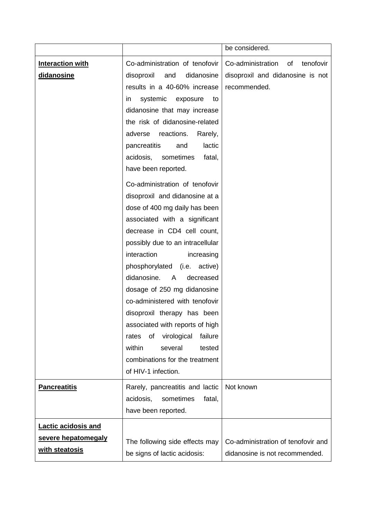|                            |                                       | be considered.                       |
|----------------------------|---------------------------------------|--------------------------------------|
| <b>Interaction with</b>    | Co-administration of tenofovir        | Co-administration<br>0f<br>tenofovir |
| didanosine                 | disoproxil<br>and<br>didanosine       | disoproxil and didanosine is not     |
|                            | results in a 40-60% increase          | recommended.                         |
|                            | systemic<br>exposure<br>to<br>in      |                                      |
|                            | didanosine that may increase          |                                      |
|                            | the risk of didanosine-related        |                                      |
|                            | reactions.<br>Rarely,<br>adverse      |                                      |
|                            | pancreatitis<br>lactic<br>and         |                                      |
|                            | sometimes<br>acidosis,<br>fatal,      |                                      |
|                            | have been reported.                   |                                      |
|                            | Co-administration of tenofovir        |                                      |
|                            | disoproxil and didanosine at a        |                                      |
|                            | dose of 400 mg daily has been         |                                      |
|                            | associated with a significant         |                                      |
|                            | decrease in CD4 cell count,           |                                      |
|                            | possibly due to an intracellular      |                                      |
|                            | interaction<br>increasing             |                                      |
|                            | phosphorylated (i.e. active)          |                                      |
|                            | didanosine.<br>A<br>decreased         |                                      |
|                            | dosage of 250 mg didanosine           |                                      |
|                            | co-administered with tenofovir        |                                      |
|                            | disoproxil therapy has been           |                                      |
|                            | associated with reports of high       |                                      |
|                            | of<br>virological<br>failure<br>rates |                                      |
|                            | within<br>several<br>tested           |                                      |
|                            | combinations for the treatment        |                                      |
|                            | of HIV-1 infection.                   |                                      |
| <b>Pancreatitis</b>        | Rarely, pancreatitis and lactic       | Not known                            |
|                            | acidosis,<br>sometimes<br>fatal,      |                                      |
|                            | have been reported.                   |                                      |
| <b>Lactic acidosis and</b> |                                       |                                      |
| severe hepatomegaly        | The following side effects may        | Co-administration of tenofovir and   |
| with steatosis             | be signs of lactic acidosis:          | didanosine is not recommended.       |
|                            |                                       |                                      |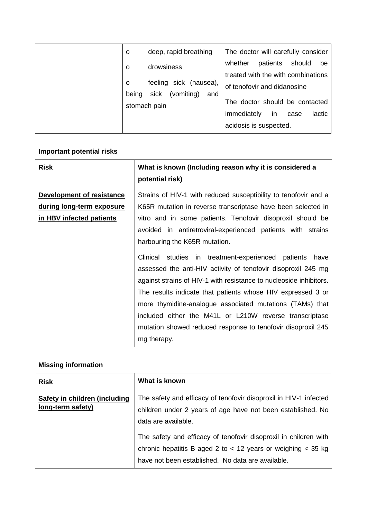|        | $\circ$                                            | deep, rapid breathing                                         | The doctor will carefully consider            |          |        |        |
|--------|----------------------------------------------------|---------------------------------------------------------------|-----------------------------------------------|----------|--------|--------|
| O<br>O |                                                    | drowsiness<br>feeling sick (nausea),                          | whether<br>treated with the with combinations | patients | should | be     |
|        | sick<br>(vomiting)<br>being<br>and<br>stomach pain | of tenofovir and didanosine<br>The doctor should be contacted |                                               |          |        |        |
|        |                                                    |                                                               | immediately<br>acidosis is suspected.         | in       | case   | lactic |

# **Important potential risks**

| <b>Risk</b>                                                                        | What is known (Including reason why it is considered a<br>potential risk)                                                                                                                                                                                                                                                                                                                                                                                                                               |  |
|------------------------------------------------------------------------------------|---------------------------------------------------------------------------------------------------------------------------------------------------------------------------------------------------------------------------------------------------------------------------------------------------------------------------------------------------------------------------------------------------------------------------------------------------------------------------------------------------------|--|
| Development of resistance<br>during long-term exposure<br>in HBV infected patients | Strains of HIV-1 with reduced susceptibility to tenofovir and a<br>K65R mutation in reverse transcriptase have been selected in<br>vitro and in some patients. Tenofovir disoproxil should be<br>avoided in antiretroviral-experienced patients with strains                                                                                                                                                                                                                                            |  |
|                                                                                    | harbouring the K65R mutation.<br>Clinical studies in treatment-experienced patients<br>have<br>assessed the anti-HIV activity of tenofovir disoproxil 245 mg<br>against strains of HIV-1 with resistance to nucleoside inhibitors.<br>The results indicate that patients whose HIV expressed 3 or<br>more thymidine-analogue associated mutations (TAMs) that<br>included either the M41L or L210W reverse transcriptase<br>mutation showed reduced response to tenofovir disoproxil 245<br>mg therapy. |  |

# **Missing information**

| <b>Risk</b>                                        | What is known                                                                                                                                                                             |
|----------------------------------------------------|-------------------------------------------------------------------------------------------------------------------------------------------------------------------------------------------|
| Safety in children (including<br>long-term safety) | The safety and efficacy of tenofovir disoproxil in HIV-1 infected<br>children under 2 years of age have not been established. No<br>data are available.                                   |
|                                                    | The safety and efficacy of tenofovir disoproxil in children with<br>chronic hepatitis B aged 2 to $<$ 12 years or weighing $<$ 35 kg<br>have not been established. No data are available. |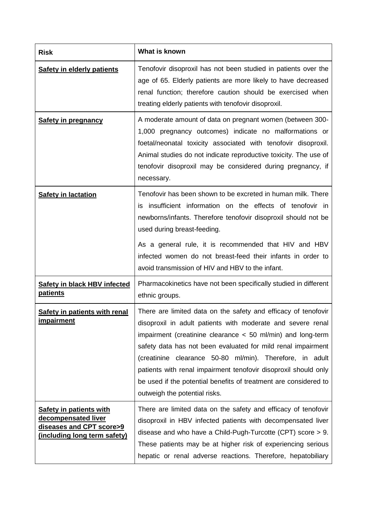| <b>Risk</b>                                                                                                       | What is known                                                                                                                                                                                                                                                                                                                                                                                                                                                                                      |
|-------------------------------------------------------------------------------------------------------------------|----------------------------------------------------------------------------------------------------------------------------------------------------------------------------------------------------------------------------------------------------------------------------------------------------------------------------------------------------------------------------------------------------------------------------------------------------------------------------------------------------|
| <b>Safety in elderly patients</b>                                                                                 | Tenofovir disoproxil has not been studied in patients over the<br>age of 65. Elderly patients are more likely to have decreased<br>renal function; therefore caution should be exercised when<br>treating elderly patients with tenofovir disoproxil.                                                                                                                                                                                                                                              |
| <b>Safety in pregnancy</b>                                                                                        | A moderate amount of data on pregnant women (between 300-<br>1,000 pregnancy outcomes) indicate no malformations or<br>foetal/neonatal toxicity associated with tenofovir disoproxil.<br>Animal studies do not indicate reproductive toxicity. The use of<br>tenofovir disoproxil may be considered during pregnancy, if<br>necessary.                                                                                                                                                             |
| <b>Safety in lactation</b>                                                                                        | Tenofovir has been shown to be excreted in human milk. There<br>insufficient information on the effects of tenofovir in<br>IS<br>newborns/infants. Therefore tenofovir disoproxil should not be<br>used during breast-feeding.                                                                                                                                                                                                                                                                     |
|                                                                                                                   | As a general rule, it is recommended that HIV and HBV<br>infected women do not breast-feed their infants in order to<br>avoid transmission of HIV and HBV to the infant.                                                                                                                                                                                                                                                                                                                           |
| <b>Safety in black HBV infected</b><br><b>patients</b>                                                            | Pharmacokinetics have not been specifically studied in different<br>ethnic groups.                                                                                                                                                                                                                                                                                                                                                                                                                 |
| <b>Safety in patients with renal</b><br><u>impairment</u>                                                         | There are limited data on the safety and efficacy of tenofovir<br>disoproxil in adult patients with moderate and severe renal<br>impairment (creatinine clearance $<$ 50 ml/min) and long-term<br>safety data has not been evaluated for mild renal impairment<br>(creatinine clearance 50-80 ml/min). Therefore, in adult<br>patients with renal impairment tenofovir disoproxil should only<br>be used if the potential benefits of treatment are considered to<br>outweigh the potential risks. |
| <b>Safety in patients with</b><br>decompensated liver<br>diseases and CPT score>9<br>(including long term safety) | There are limited data on the safety and efficacy of tenofovir<br>disoproxil in HBV infected patients with decompensated liver<br>disease and who have a Child-Pugh-Turcotte (CPT) score $> 9$ .<br>These patients may be at higher risk of experiencing serious<br>hepatic or renal adverse reactions. Therefore, hepatobiliary                                                                                                                                                                   |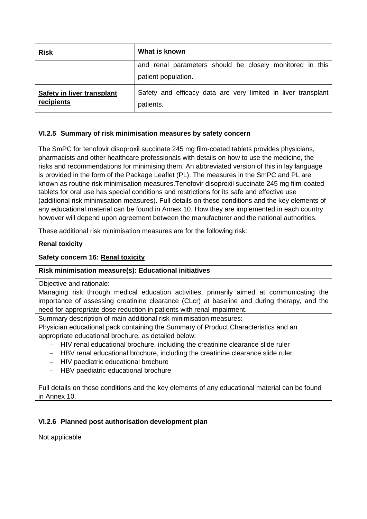| <b>Risk</b>                              | What is known                                                                   |
|------------------------------------------|---------------------------------------------------------------------------------|
|                                          | and renal parameters should be closely monitored in this<br>patient population. |
| Safety in liver transplant<br>recipients | Safety and efficacy data are very limited in liver transplant<br>patients.      |

## **VI.2.5 Summary of risk minimisation measures by safety concern**

The SmPC for tenofovir disoproxil succinate 245 mg film-coated tablets provides physicians, pharmacists and other healthcare professionals with details on how to use the medicine, the risks and recommendations for minimising them. An abbreviated version of this in lay language is provided in the form of the Package Leaflet (PL). The measures in the SmPC and PL are known as routine risk minimisation measures.Tenofovir disoproxil succinate 245 mg film-coated tablets for oral use has special conditions and restrictions for its safe and effective use (additional risk minimisation measures). Full details on these conditions and the key elements of any educational material can be found in Annex 10. How they are implemented in each country however will depend upon agreement between the manufacturer and the national authorities.

These additional risk minimisation measures are for the following risk:

## **Renal toxicity**

## **Safety concern 16: Renal toxicity**

# **Risk minimisation measure(s): Educational initiatives**

## Objective and rationale:

Managing risk through medical education activities, primarily aimed at communicating the importance of assessing creatinine clearance (CLcr) at baseline and during therapy, and the need for appropriate dose reduction in patients with renal impairment.

Summary description of main additional risk minimisation measures:

Physician educational pack containing the Summary of Product Characteristics and an appropriate educational brochure, as detailed below:

- $-$  HIV renal educational brochure, including the creatinine clearance slide ruler
- HBV renal educational brochure, including the creatinine clearance slide ruler
- HIV paediatric educational brochure
- HBV paediatric educational brochure

Full details on these conditions and the key elements of any educational material can be found in Annex 10.

## **VI.2.6 Planned post authorisation development plan**

Not applicable